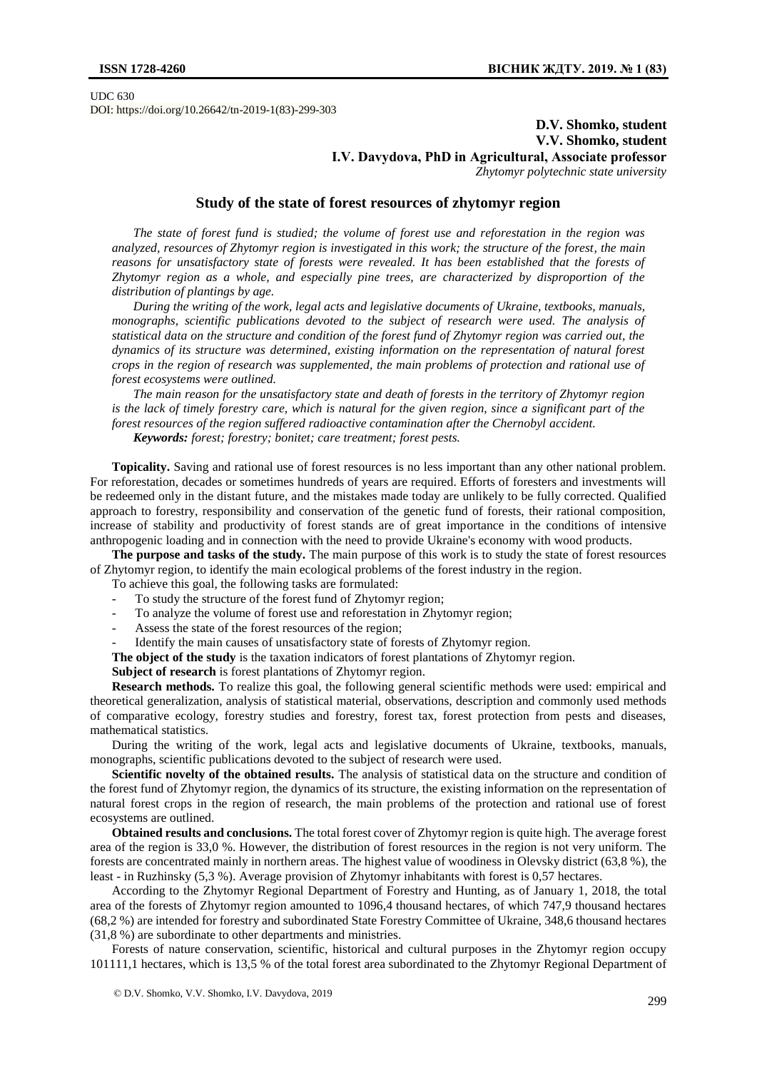UDC 630 DOI: https://doi.org/10.26642/tn-2019-1(83)-299-303

## **D.V. Shomko, student V.V. Shomko, student I.V. Davydova, PhD in Agricultural, Аssociate professor** *Zhytomyr polytechnic state university*

## **Study of the state of forest resources of zhytomyr region**

*The state of forest fund is studied; the volume of forest use and reforestation in the region was analyzed, resources of Zhytomyr region is investigated in this work; the structure of the forest, the main reasons for unsatisfactory state of forests were revealed. It has been established that the forests of Zhytomyr region as a whole, and especially pine trees, are characterized by disproportion of the distribution of plantings by age.*

*During the writing of the work, legal acts and legislative documents of Ukraine, textbooks, manuals, monographs, scientific publications devoted to the subject of research were used. The analysis of statistical data on the structure and condition of the forest fund of Zhytomyr region was carried out, the dynamics of its structure was determined, existing information on the representation of natural forest crops in the region of research was supplemented, the main problems of protection and rational use of forest ecosystems were outlined.*

*The main reason for the unsatisfactory state and death of forests in the territory of Zhytomyr region is the lack of timely forestry care, which is natural for the given region, since a significant part of the forest resources of the region suffered radioactive contamination after the Chernobyl accident. Keywords: forest; forestry; bonitet; care treatment; forest pests.*

**Topicality.** Saving and rational use of forest resources is no less important than any other national problem. For reforestation, decades or sometimes hundreds of years are required. Efforts of foresters and investments will be redeemed only in the distant future, and the mistakes made today are unlikely to be fully corrected. Qualified approach to forestry, responsibility and conservation of the genetic fund of forests, their rational composition, increase of stability and productivity of forest stands are of great importance in the conditions of intensive anthropogenic loading and in connection with the need to provide Ukraine's economy with wood products.

**The purpose and tasks of the study.** The main purpose of this work is to study the state of forest resources of Zhytomyr region, to identify the main ecological problems of the forest industry in the region.

- To achieve this goal, the following tasks are formulated:
- To study the structure of the forest fund of Zhytomyr region;
- To analyze the volume of forest use and reforestation in Zhytomyr region;
- Assess the state of the forest resources of the region;
- Identify the main causes of unsatisfactory state of forests of Zhytomyr region.

**The object of the study** is the taxation indicators of forest plantations of Zhytomyr region.

**Subject of research** is forest plantations of Zhytomyr region.

**Research methods.** To realize this goal, the following general scientific methods were used: empirical and theoretical generalization, analysis of statistical material, observations, description and commonly used methods of comparative ecology, forestry studies and forestry, forest tax, forest protection from pests and diseases, mathematical statistics.

During the writing of the work, legal acts and legislative documents of Ukraine, textbooks, manuals, monographs, scientific publications devoted to the subject of research were used.

**Scientific novelty of the obtained results.** The analysis of statistical data on the structure and condition of the forest fund of Zhytomyr region, the dynamics of its structure, the existing information on the representation of natural forest crops in the region of research, the main problems of the protection and rational use of forest ecosystems are outlined.

**Obtained results and conclusions.** The total forest cover of Zhytomyr region is quite high. The average forest area of the region is 33,0 %. However, the distribution of forest resources in the region is not very uniform. The forests are concentrated mainly in northern areas. The highest value of woodiness in Olevsky district (63,8 %), the least - in Ruzhinsky (5,3 %). Average provision of Zhytomyr inhabitants with forest is 0,57 hectares.

According to the Zhytomyr Regional Department of Forestry and Hunting, as of January 1, 2018, the total area of the forests of Zhytomyr region amounted to 1096,4 thousand hectares, of which 747,9 thousand hectares (68,2 %) are intended for forestry and subordinated State Forestry Committee of Ukraine, 348,6 thousand hectares (31,8 %) are subordinate to other departments and ministries.

Forests of nature conservation, scientific, historical and cultural purposes in the Zhytomyr region occupy 101111,1 hectares, which is 13,5 % of the total forest area subordinated to the Zhytomyr Regional Department of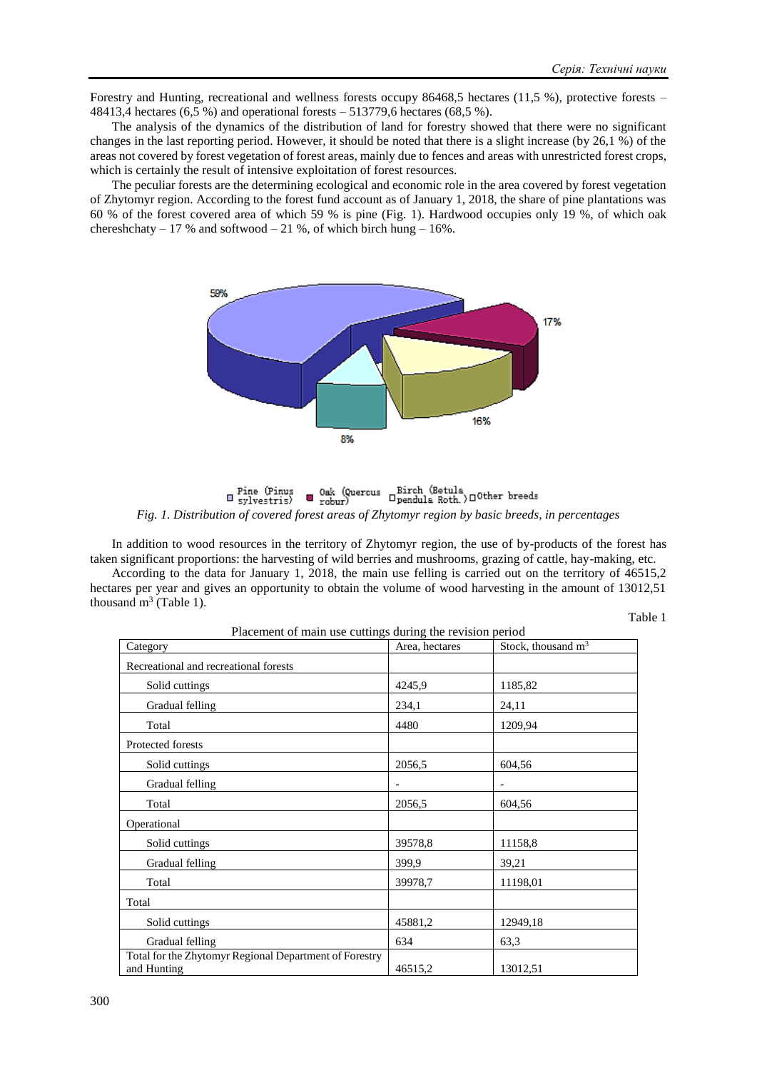Forestry and Hunting, recreational and wellness forests occupy 86468,5 hectares (11,5 %), protective forests – 48413,4 hectares (6,5 %) and operational forests – 513779,6 hectares (68,5 %).

The analysis of the dynamics of the distribution of land for forestry showed that there were no significant changes in the last reporting period. However, it should be noted that there is a slight increase (by 26,1 %) of the areas not covered by forest vegetation of forest areas, mainly due to fences and areas with unrestricted forest crops, which is certainly the result of intensive exploitation of forest resources.

The peculiar forests are the determining ecological and economic role in the area covered by forest vegetation of Zhytomyr region. According to the forest fund account as of January 1, 2018, the share of pine plantations was 60 % of the forest covered area of which 59 % is pine (Fig. 1). Hardwood occupies only 19 %, of which oak chereshchaty – 17 % and softwood – 21 %, of which birch hung – 16%.



 $\begin{tabular}{ll} {\bf 0ak} & {\bf 0ek} & {\bf (Quercus} & {\bf Birch (Betula) } \end{tabular} where {\bf 0s} \end{tabular}$ **□** Fine (Pinus<br>□ sylvestris) *Fig. 1. Distribution of covered forest areas of Zhytomyr region by basic breeds, in percentages*

In addition to wood resources in the territory of Zhytomyr region, the use of by-products of the forest has taken significant proportions: the harvesting of wild berries and mushrooms, grazing of cattle, hay-making, etc.

According to the data for January 1, 2018, the main use felling is carried out on the territory of 46515,2 hectares per year and gives an opportunity to obtain the volume of wood harvesting in the amount of 13012,51 thousand  $m^3$  (Table 1).

Table 1

| Placement of main use cuttings during the revision period             |                |                      |  |
|-----------------------------------------------------------------------|----------------|----------------------|--|
| Category                                                              | Area, hectares | Stock, thousand $m3$ |  |
| Recreational and recreational forests                                 |                |                      |  |
| Solid cuttings                                                        | 4245,9         | 1185,82              |  |
| Gradual felling                                                       | 234,1          | 24,11                |  |
| Total                                                                 | 4480           | 1209,94              |  |
| Protected forests                                                     |                |                      |  |
| Solid cuttings                                                        | 2056,5         | 604,56               |  |
| Gradual felling                                                       |                |                      |  |
| Total                                                                 | 2056,5         | 604,56               |  |
| Operational                                                           |                |                      |  |
| Solid cuttings                                                        | 39578,8        | 11158,8              |  |
| Gradual felling                                                       | 399.9          | 39,21                |  |
| Total                                                                 | 39978,7        | 11198,01             |  |
| Total                                                                 |                |                      |  |
| Solid cuttings                                                        | 45881,2        | 12949,18             |  |
| Gradual felling                                                       | 634            | 63,3                 |  |
| Total for the Zhytomyr Regional Department of Forestry<br>and Hunting | 46515,2        | 13012,51             |  |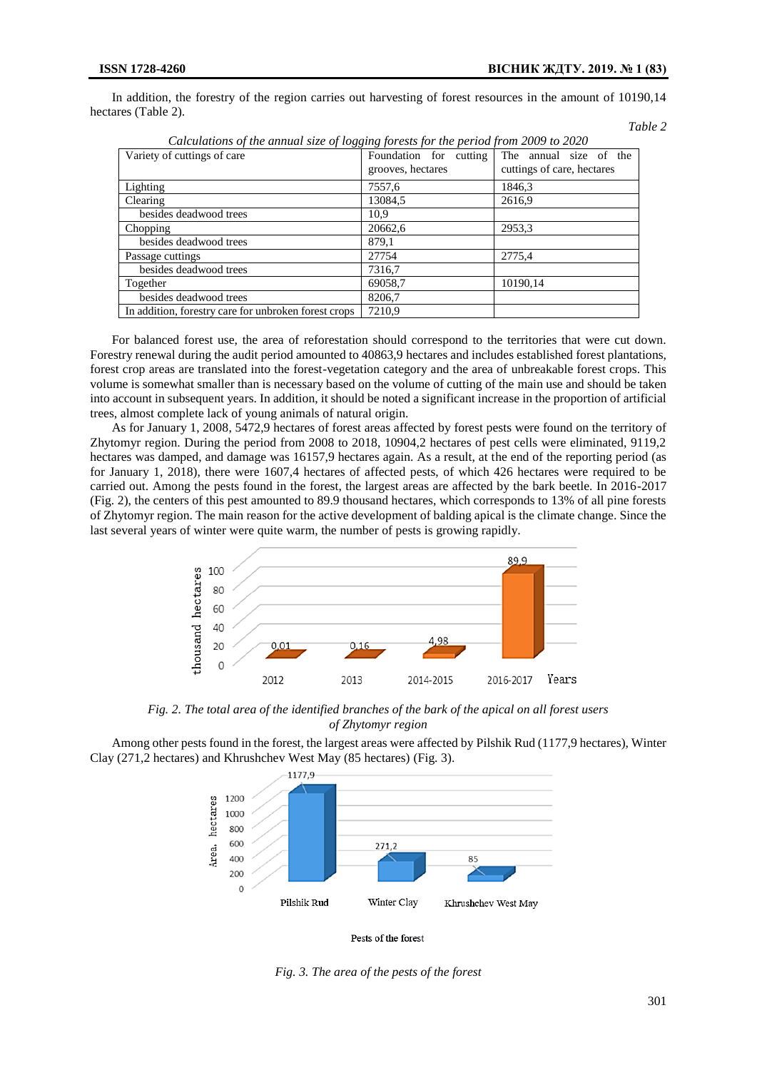*Table 2*

In addition, the forestry of the region carries out harvesting of forest resources in the amount of 10190,14 hectares (Table 2).

| Calculations of the annual size of logging forests for the period from 2009 to 2020 |                        |                            |  |
|-------------------------------------------------------------------------------------|------------------------|----------------------------|--|
| Variety of cuttings of care                                                         | Foundation for cutting | The annual size of the     |  |
|                                                                                     | grooves, hectares      | cuttings of care, hectares |  |
| Lighting                                                                            | 7557.6                 | 1846,3                     |  |
| Clearing                                                                            | 13084,5                | 2616,9                     |  |
| besides deadwood trees                                                              | 10.9                   |                            |  |
| Chopping                                                                            | 20662,6                | 2953,3                     |  |
| besides deadwood trees                                                              | 879,1                  |                            |  |
| Passage cuttings                                                                    | 27754                  | 2775,4                     |  |
| besides deadwood trees                                                              | 7316,7                 |                            |  |
| Together                                                                            | 69058,7                | 10190,14                   |  |
| besides deadwood trees                                                              | 8206.7                 |                            |  |
| In addition, forestry care for unbroken forest crops                                | 7210.9                 |                            |  |

*Calculations of the annual size of logging forests for the period from 2009 to 2020*

For balanced forest use, the area of reforestation should correspond to the territories that were cut down. Forestry renewal during the audit period amounted to 40863,9 hectares and includes established forest plantations, forest crop areas are translated into the forest-vegetation category and the area of unbreakable forest crops. This volume is somewhat smaller than is necessary based on the volume of cutting of the main use and should be taken into account in subsequent years. In addition, it should be noted a significant increase in the proportion of artificial trees, almost complete lack of young animals of natural origin.

As for January 1, 2008, 5472,9 hectares of forest areas affected by forest pests were found on the territory of Zhytomyr region. During the period from 2008 to 2018, 10904,2 hectares of pest cells were eliminated, 9119,2 hectares was damped, and damage was 16157,9 hectares again. As a result, at the end of the reporting period (as for January 1, 2018), there were 1607,4 hectares of affected pests, of which 426 hectares were required to be carried out. Among the pests found in the forest, the largest areas are affected by the bark beetle. In 2016-2017 (Fig. 2), the centers of this pest amounted to 89.9 thousand hectares, which corresponds to 13% of all pine forests of Zhytomyr region. The main reason for the active development of balding apical is the climate change. Since the last several years of winter were quite warm, the number of pests is growing rapidly.



*Fig. 2. The total area of the identified branches of the bark of the apical on all forest users of Zhytomyr region*

Among other pests found in the forest, the largest areas were affected by Pilshik Rud (1177,9 hectares), Winter Clay (271,2 hectares) and Khrushchev West May (85 hectares) (Fig. 3).





*Fig. 3. The area of the pests of the forest*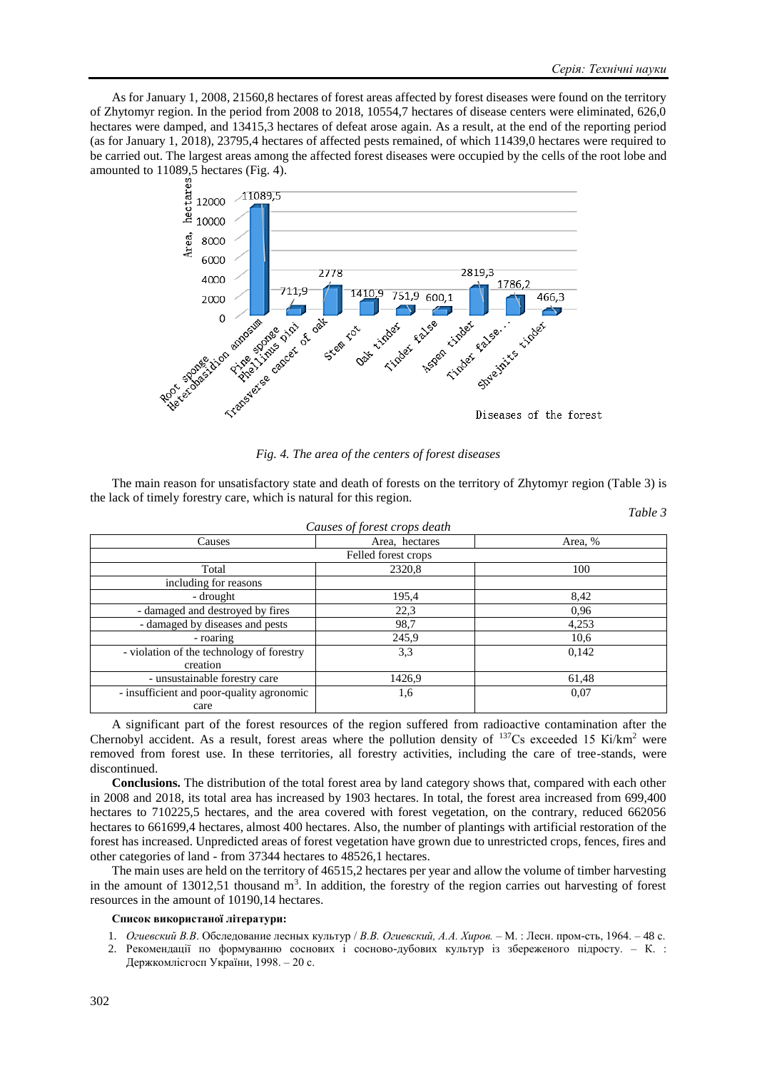*Table 3*

As for January 1, 2008, 21560,8 hectares of forest areas affected by forest diseases were found on the territory of Zhytomyr region. In the period from 2008 to 2018, 10554,7 hectares of disease centers were eliminated, 626,0 hectares were damped, and 13415,3 hectares of defeat arose again. As a result, at the end of the reporting period (as for January 1, 2018), 23795,4 hectares of affected pests remained, of which 11439,0 hectares were required to be carried out. The largest areas among the affected forest diseases were occupied by the cells of the root lobe and amounted to 11089,5 hectares (Fig. 4).



*Fig. 4. The area of the centers of forest diseases*

The main reason for unsatisfactory state and death of forests on the territory of Zhytomyr region (Table 3) is the lack of timely forestry care, which is natural for this region.

| Causes of forest crops death              |                |         |  |
|-------------------------------------------|----------------|---------|--|
| Causes                                    | Area, hectares | Area, % |  |
| Felled forest crops                       |                |         |  |
| Total                                     | 2320,8         | 100     |  |
| including for reasons                     |                |         |  |
| - drought                                 | 195,4          | 8,42    |  |
| - damaged and destroyed by fires          | 22,3           | 0,96    |  |
| - damaged by diseases and pests           | 98,7           | 4,253   |  |
| - roaring                                 | 245,9          | 10,6    |  |
| - violation of the technology of forestry | 3,3            | 0,142   |  |
| creation                                  |                |         |  |
| - unsustainable forestry care             | 1426,9         | 61,48   |  |
| - insufficient and poor-quality agronomic | 1,6            | 0,07    |  |
| care                                      |                |         |  |

A significant part of the forest resources of the region suffered from radioactive contamination after the Chernobyl accident. As a result, forest areas where the pollution density of  $137Cs$  exceeded 15 Ki/km<sup>2</sup> were removed from forest use. In these territories, all forestry activities, including the care of tree-stands, were discontinued.

**Conclusions.** The distribution of the total forest area by land category shows that, compared with each other in 2008 and 2018, its total area has increased by 1903 hectares. In total, the forest area increased from 699,400 hectares to 710225,5 hectares, and the area covered with forest vegetation, on the contrary, reduced 662056 hectares to 661699,4 hectares, almost 400 hectares. Also, the number of plantings with artificial restoration of the forest has increased. Unpredicted areas of forest vegetation have grown due to unrestricted crops, fences, fires and other categories of land - from 37344 hectares to 48526,1 hectares.

The main uses are held on the territory of 46515,2 hectares per year and allow the volume of timber harvesting in the amount of  $13012,51$  thousand m<sup>3</sup>. In addition, the forestry of the region carries out harvesting of forest resources in the amount of 10190,14 hectares.

## **Список використаної літератури:**

- 1. *Огиевский В.В*. Обследование лесных культур / *В.В. Огиевский, А.А. Хиров.* М. : Лесн. пром-сть, 1964. 48 с.
- 2. Рекомендації по формуванню соснових і сосново-дубових культур із збереженого підросту. К. : Держкомлісгосп України, 1998. – 20 с.